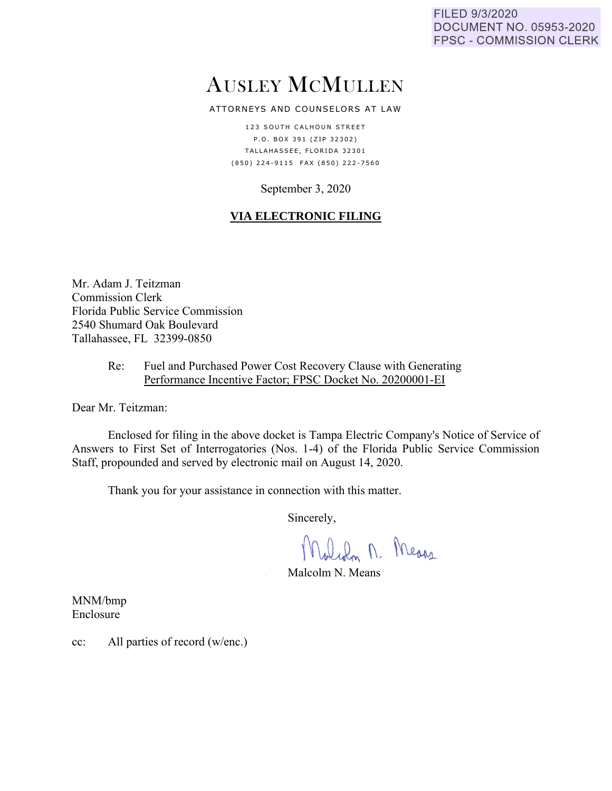FILED 9/3/2020 **DOCUMENT NO. 05953-2020 FPSC - COMMISSION CLERK** 

# AUSLEY MCMULLEN

ATTORNEYS AND COUNSELORS AT LAW

123 SOUTH CALHOUN STREET P.O. BOX 391 (ZIP 32302) TALLAHASSEE, FLORIDA 32301 (850) 224-9115 FAX (850) 222-7560

### September 3, 2020

## **VIA ELECTRONIC FILING**

Mr. Adam J. Teitzman Commission Clerk Florida Public Service Commission 2540 Shumard Oak Boulevard Tallahassee, FL 32399-0850

#### Re: Fuel and Purchased Power Cost Recovery Clause with Generating Performance Incentive Factor; FPSC Docket No. 20200001-EI

Dear Mr. Teitzman:

Enclosed for filing in the above docket is Tampa Electric Company's Notice of Service of Answers to First Set of Interrogatories (Nos. 1-4) of the Florida Public Service Commission Staff, propounded and served by electronic mail on August 14, 2020.

Thank you for your assistance in connection with this matter.

Sincerely,

Malch n. Means

Malcolm N. Means

MNM/bmp Enclosure

cc: All parties of record (w/enc.)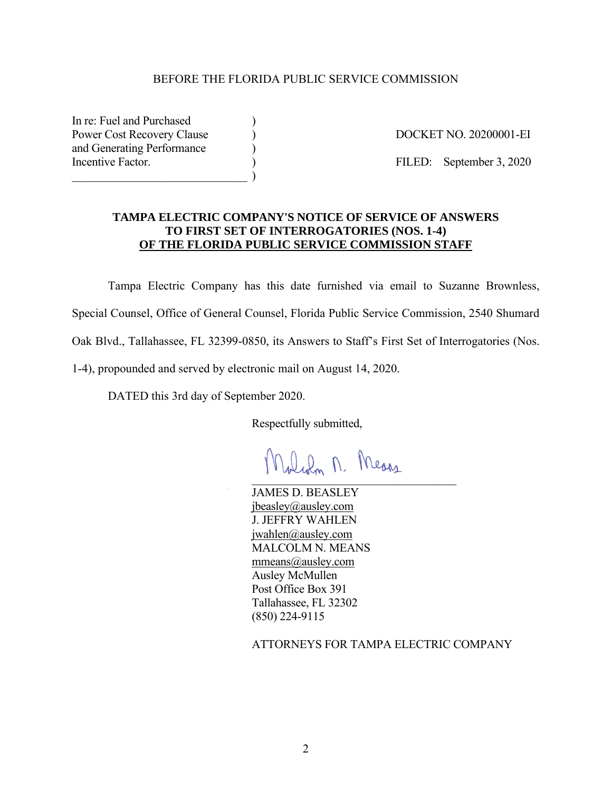#### BEFORE THE FLORIDA PUBLIC SERVICE COMMISSION

In re: Fuel and Purchased Power Cost Recovery Clause (a) The Cost Recovery Clause (b) and  $\overline{DOCKET NO. 20200001-EI}$ and Generating Performance ) Incentive Factor. (a) (b) FILED: September 3, 2020  $\qquad \qquad )$ 

#### **TAMPA ELECTRIC COMPANY'S NOTICE OF SERVICE OF ANSWERS TO FIRST SET OF INTERROGATORIES (NOS. 1-4) OF THE FLORIDA PUBLIC SERVICE COMMISSION STAFF**

Tampa Electric Company has this date furnished via email to Suzanne Brownless, Special Counsel, Office of General Counsel, Florida Public Service Commission, 2540 Shumard Oak Blvd., Tallahassee, FL 32399-0850, its Answers to Staff's First Set of Interrogatories (Nos. 1-4), propounded and served by electronic mail on August 14, 2020.

DATED this 3rd day of September 2020.

Respectfully submitted,

Molian M. Means  $\mathcal{L}$  , and the set of the set of the set of the set of the set of the set of the set of the set of the set of the set of the set of the set of the set of the set of the set of the set of the set of the set of the set

JAMES D. BEASLEY jbeasley@ausley.com J. JEFFRY WAHLEN jwahlen@ausley.com MALCOLM N. MEANS mmeans@ausley.com Ausley McMullen Post Office Box 391 Tallahassee, FL 32302 (850) 224-9115

ATTORNEYS FOR TAMPA ELECTRIC COMPANY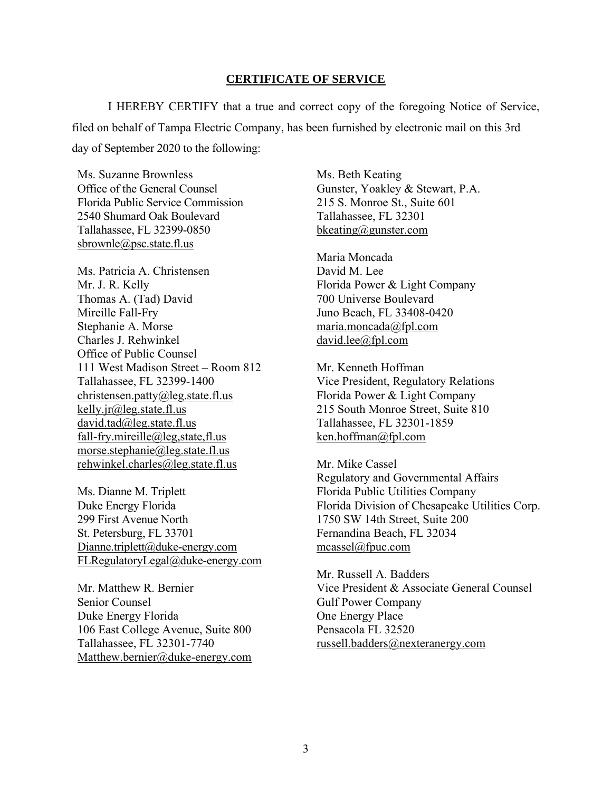#### **CERTIFICATE OF SERVICE**

I HEREBY CERTIFY that a true and correct copy of the foregoing Notice of Service, filed on behalf of Tampa Electric Company, has been furnished by electronic mail on this 3rd day of September 2020 to the following:

Ms. Suzanne Brownless Office of the General Counsel Florida Public Service Commission 2540 Shumard Oak Boulevard Tallahassee, FL 32399-0850 sbrownle@psc.state.fl.us

Ms. Patricia A. Christensen Mr. J. R. Kelly Thomas A. (Tad) David Mireille Fall-Fry Stephanie A. Morse Charles J. Rehwinkel Office of Public Counsel 111 West Madison Street – Room 812 Tallahassee, FL 32399-1400 christensen.patty@leg.state.fl.us kelly.jr@leg.state.fl.us david.tad@leg.state.fl.us fall-fry.mireille@leg,state,fl.us morse.stephanie@leg.state.fl.us rehwinkel.charles@leg.state.fl.us

Ms. Dianne M. Triplett Duke Energy Florida 299 First Avenue North St. Petersburg, FL 33701 Dianne.triplett@duke-energy.com FLRegulatoryLegal@duke-energy.com

Mr. Matthew R. Bernier Senior Counsel Duke Energy Florida 106 East College Avenue, Suite 800 Tallahassee, FL 32301-7740 Matthew.bernier@duke-energy.com Ms. Beth Keating Gunster, Yoakley & Stewart, P.A. 215 S. Monroe St., Suite 601 Tallahassee, FL 32301 bkeating@gunster.com

Maria Moncada David M. Lee Florida Power & Light Company 700 Universe Boulevard Juno Beach, FL 33408-0420 maria.moncada@fpl.com david.lee@fpl.com

Mr. Kenneth Hoffman Vice President, Regulatory Relations Florida Power & Light Company 215 South Monroe Street, Suite 810 Tallahassee, FL 32301-1859 ken.hoffman@fpl.com

Mr. Mike Cassel Regulatory and Governmental Affairs Florida Public Utilities Company Florida Division of Chesapeake Utilities Corp. 1750 SW 14th Street, Suite 200 Fernandina Beach, FL 32034 mcassel@fpuc.com

Mr. Russell A. Badders Vice President & Associate General Counsel Gulf Power Company One Energy Place Pensacola FL 32520 russell.badders@nexteranergy.com